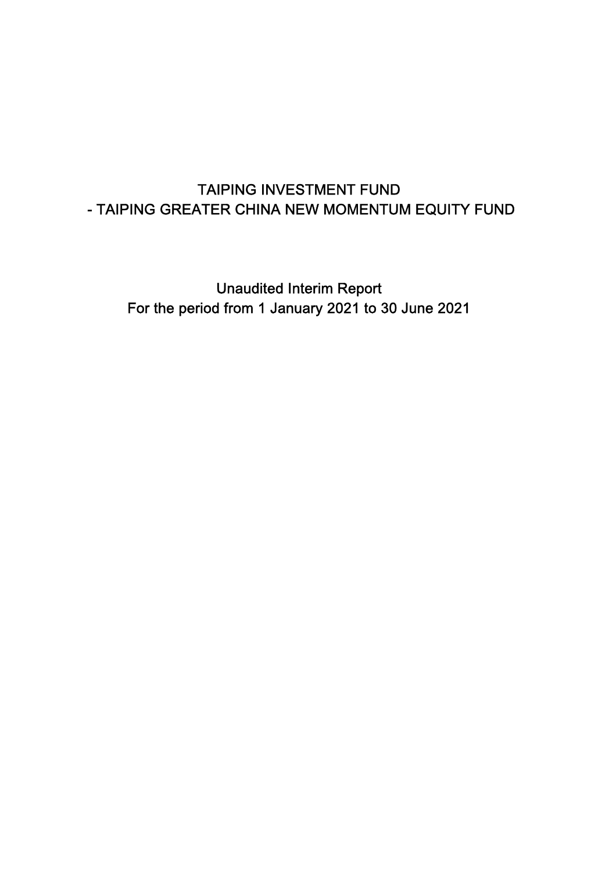Unaudited Interim Report For the period from 1 January 2021 to 30 June 2021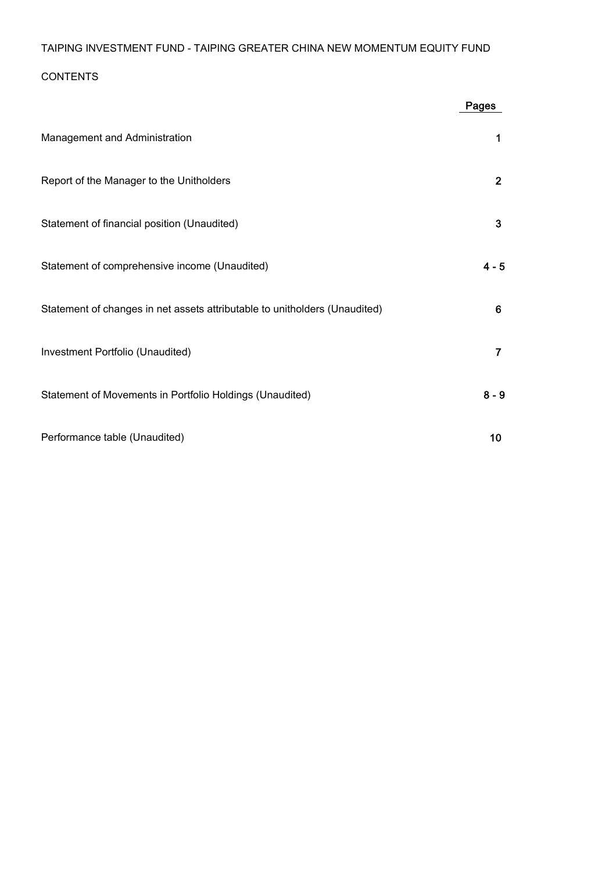## CONTENTS

|                                                                            | Pages          |
|----------------------------------------------------------------------------|----------------|
| Management and Administration                                              | 1              |
| Report of the Manager to the Unitholders                                   | $\mathbf{2}$   |
| Statement of financial position (Unaudited)                                | $\mathbf{3}$   |
| Statement of comprehensive income (Unaudited)                              | $4 - 5$        |
| Statement of changes in net assets attributable to unitholders (Unaudited) | 6              |
| Investment Portfolio (Unaudited)                                           | $\overline{7}$ |
| Statement of Movements in Portfolio Holdings (Unaudited)                   | $8 - 9$        |
| Performance table (Unaudited)                                              | 10             |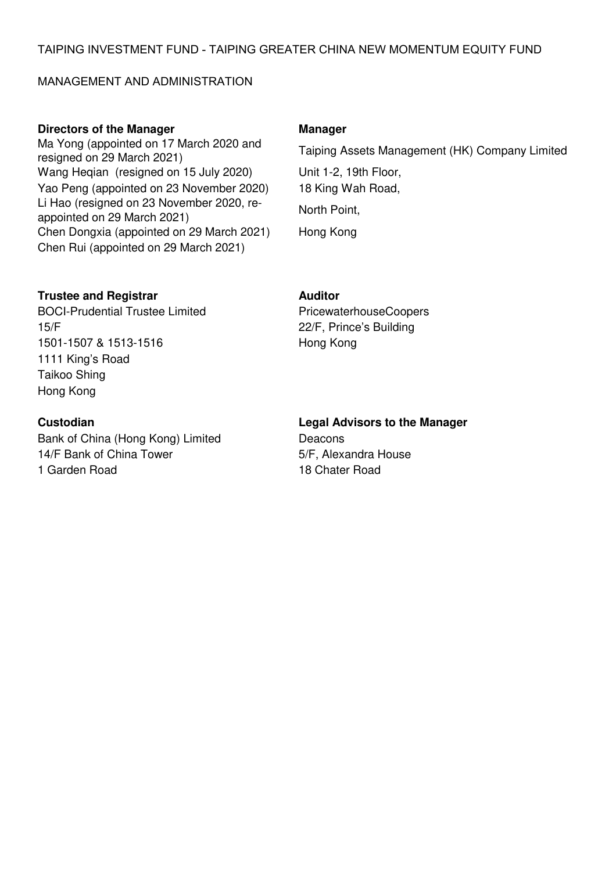### MANAGEMENT AND ADMINISTRATION

### **Directors of the Manager Manager Manager**

Ma Yong (appointed on 17 March 2020 and Wang Heqian (resigned on 15 July 2020) Unit 1-2, 19th Floor, Yao Peng (appointed on 23 November 2020) 18 King Wah Road, Li Hao (resigned on 23 November 2020, re-Li Hao (resigned on 25 November 2020, re-<br>appointed on 29 March 2021) Chen Dongxia (appointed on 29 March 2021) Hong Kong Chen Rui (appointed on 29 March 2021)

resigned on 29 March 2021)<br>Taiping Assets Management (HK) Company Limited resigned on 29 March 2021)

## **Trustee and Registrar Manual Auditor Auditor**

BOCI-Prudential Trustee Limited PricewaterhouseCoopers 15/F 22/F, Prince's Building 1501-1507 & 1513-1516 Hong Kong 1111 King's Road Taikoo Shing Hong Kong

Bank of China (Hong Kong) Limited Deacons 14/F Bank of China Tower 5/F, Alexandra House 1 Garden Road 18 Chater Road

# **Custodian Legal Advisors to the Manager**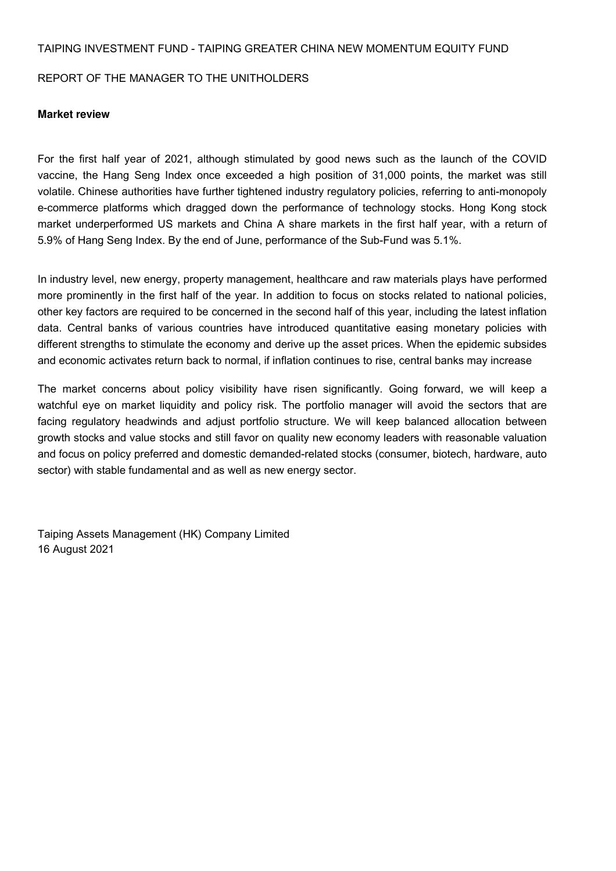#### REPORT OF THE MANAGER TO THE UNITHOLDERS

#### **Market review**

For the first half year of 2021, although stimulated by good news such as the launch of the COVID vaccine, the Hang Seng Index once exceeded a high position of 31,000 points, the market was still volatile. Chinese authorities have further tightened industry regulatory policies, referring to anti-monopoly e-commerce platforms which dragged down the performance of technology stocks. Hong Kong stock market underperformed US markets and China A share markets in the first half year, with a return of 5.9% of Hang Seng Index. By the end of June, performance of the Sub-Fund was 5.1%.

In industry level, new energy, property management, healthcare and raw materials plays have performed more prominently in the first half of the year. In addition to focus on stocks related to national policies, other key factors are required to be concerned in the second half of this year, including the latest inflation data. Central banks of various countries have introduced quantitative easing monetary policies with different strengths to stimulate the economy and derive up the asset prices. When the epidemic subsides and economic activates return back to normal, if inflation continues to rise, central banks may increase

The market concerns about policy visibility have risen significantly. Going forward, we will keep a watchful eye on market liquidity and policy risk. The portfolio manager will avoid the sectors that are facing regulatory headwinds and adjust portfolio structure. We will keep balanced allocation between growth stocks and value stocks and still favor on quality new economy leaders with reasonable valuation and focus on policy preferred and domestic demanded-related stocks (consumer, biotech, hardware, auto sector) with stable fundamental and as well as new energy sector.

Taiping Assets Management (HK) Company Limited 16 August 2021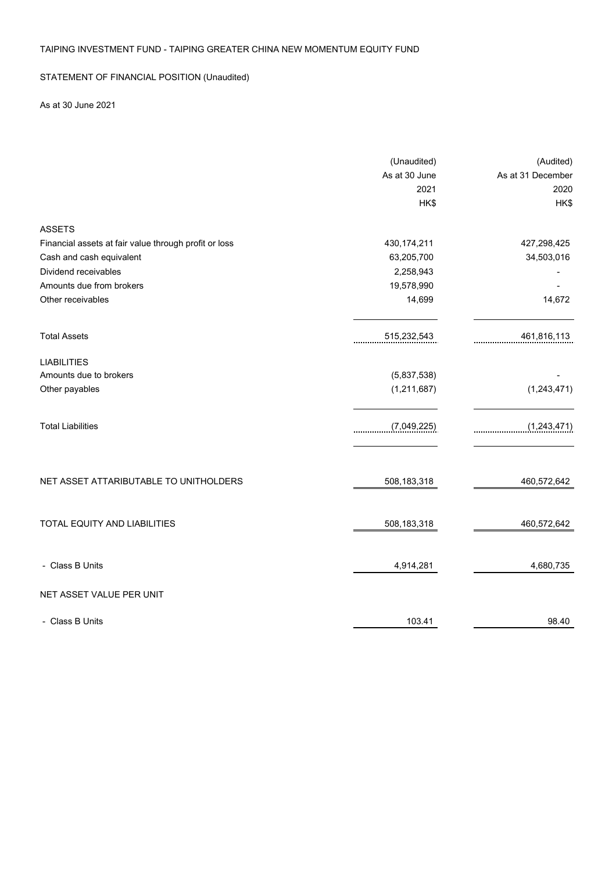### STATEMENT OF FINANCIAL POSITION (Unaudited)

### As at 30 June 2021

|                                                       | (Unaudited)   | (Audited)         |
|-------------------------------------------------------|---------------|-------------------|
|                                                       | As at 30 June | As at 31 December |
|                                                       | 2021          | 2020              |
|                                                       | HK\$          | HK\$              |
| <b>ASSETS</b>                                         |               |                   |
| Financial assets at fair value through profit or loss | 430, 174, 211 | 427,298,425       |
| Cash and cash equivalent                              | 63,205,700    | 34,503,016        |
| Dividend receivables                                  | 2,258,943     |                   |
| Amounts due from brokers                              | 19,578,990    |                   |
| Other receivables                                     | 14,699        | 14,672            |
| <b>Total Assets</b>                                   | 515,232,543   | 461,816,113       |
| <b>LIABILITIES</b>                                    |               |                   |
| Amounts due to brokers                                | (5,837,538)   |                   |
| Other payables                                        | (1, 211, 687) | (1,243,471)       |
| <b>Total Liabilities</b>                              | (7,049,225)   | (1, 243, 471)     |
| NET ASSET ATTARIBUTABLE TO UNITHOLDERS                | 508,183,318   | 460,572,642       |
| TOTAL EQUITY AND LIABILITIES                          | 508,183,318   | 460,572,642       |
| - Class B Units                                       | 4,914,281     | 4,680,735         |
| NET ASSET VALUE PER UNIT                              |               |                   |
| - Class B Units                                       | 103.41        | 98.40             |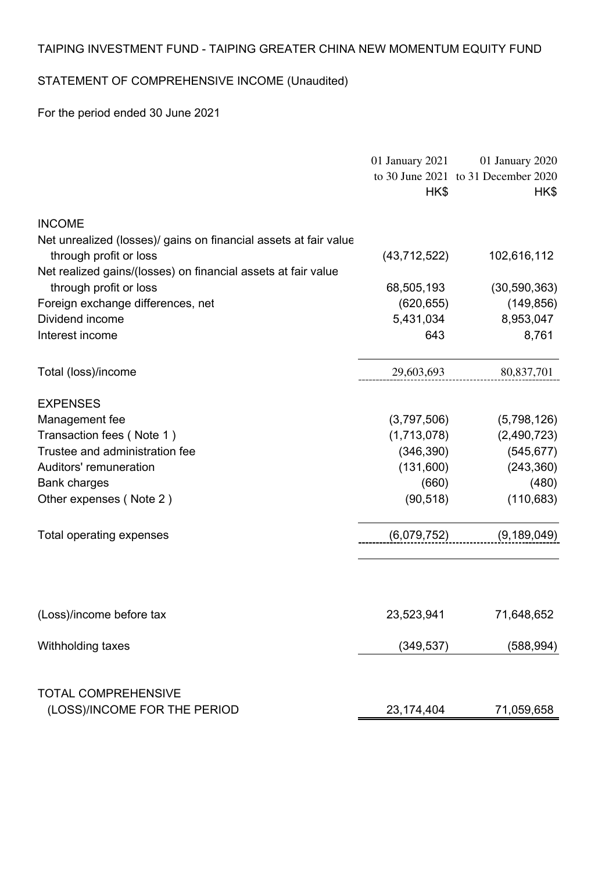# STATEMENT OF COMPREHENSIVE INCOME (Unaudited)

For the period ended 30 June 2021

|                                                                  | 01 January 2021 | 01 January 2020                     |
|------------------------------------------------------------------|-----------------|-------------------------------------|
|                                                                  |                 | to 30 June 2021 to 31 December 2020 |
|                                                                  | HK\$            | HK\$                                |
| <b>INCOME</b>                                                    |                 |                                     |
| Net unrealized (losses)/ gains on financial assets at fair value |                 |                                     |
| through profit or loss                                           | (43, 712, 522)  | 102,616,112                         |
| Net realized gains/(losses) on financial assets at fair value    |                 |                                     |
| through profit or loss                                           | 68,505,193      | (30, 590, 363)                      |
| Foreign exchange differences, net                                | (620, 655)      | (149, 856)                          |
| Dividend income                                                  | 5,431,034       | 8,953,047                           |
| Interest income                                                  | 643             | 8,761                               |
| Total (loss)/income                                              | 29,603,693      | 80,837,701                          |
| <b>EXPENSES</b>                                                  |                 |                                     |
| Management fee                                                   | (3,797,506)     | (5,798,126)                         |
| Transaction fees (Note 1)                                        | (1,713,078)     | (2,490,723)                         |
| Trustee and administration fee                                   | (346, 390)      | (545, 677)                          |
| Auditors' remuneration                                           | (131,600)       | (243, 360)                          |
| <b>Bank charges</b>                                              | (660)           | (480)                               |
| Other expenses (Note 2)                                          | (90, 518)       | (110, 683)                          |
| Total operating expenses                                         | (6,079,752)     | (9, 189, 049)                       |
|                                                                  |                 |                                     |
| (Loss)/income before tax                                         | 23,523,941      | 71,648,652                          |
| Withholding taxes                                                | (349, 537)      | (588, 994)                          |
| <b>TOTAL COMPREHENSIVE</b>                                       |                 |                                     |
| (LOSS)/INCOME FOR THE PERIOD                                     | 23,174,404      | 71,059,658                          |
|                                                                  |                 |                                     |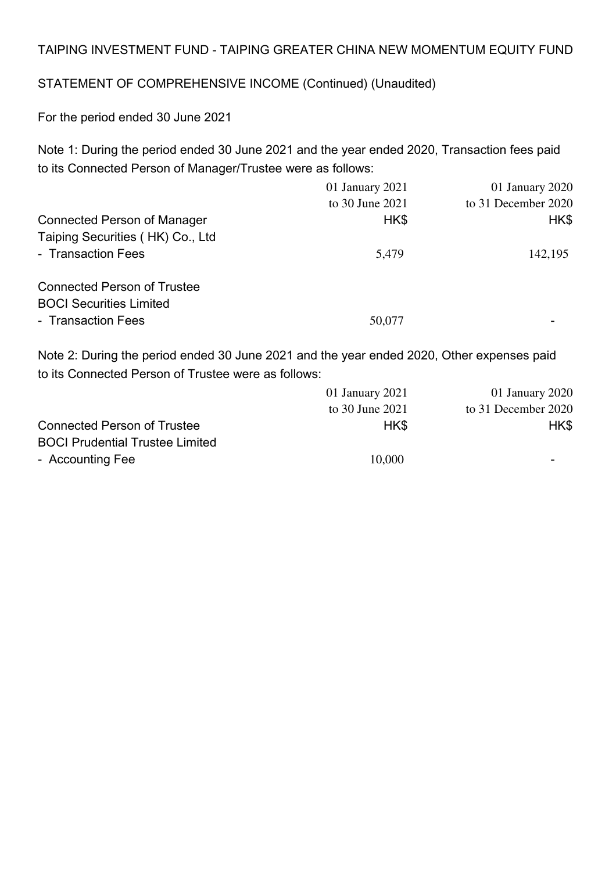# STATEMENT OF COMPREHENSIVE INCOME (Continued) (Unaudited)

For the period ended 30 June 2021

Note 1: During the period ended 30 June 2021 and the year ended 2020, Transaction fees paid to its Connected Person of Manager/Trustee were as follows:

|                                    | 01 January 2021 | 01 January 2020     |
|------------------------------------|-----------------|---------------------|
|                                    | to 30 June 2021 | to 31 December 2020 |
| <b>Connected Person of Manager</b> | HK\$            | HK\$                |
| Taiping Securities (HK) Co., Ltd   |                 |                     |
| - Transaction Fees                 | 5,479           | 142,195             |
| <b>Connected Person of Trustee</b> |                 |                     |
| <b>BOCI Securities Limited</b>     |                 |                     |
| - Transaction Fees                 | 50,077          |                     |
|                                    |                 |                     |

Note 2: During the period ended 30 June 2021 and the year ended 2020, Other expenses paid to its Connected Person of Trustee were as follows:

|                                        | 01 January 2021 | 01 January 2020     |
|----------------------------------------|-----------------|---------------------|
|                                        | to 30 June 2021 | to 31 December 2020 |
| <b>Connected Person of Trustee</b>     | HK\$            | HK\$                |
| <b>BOCI Prudential Trustee Limited</b> |                 |                     |
| - Accounting Fee                       | 10,000          |                     |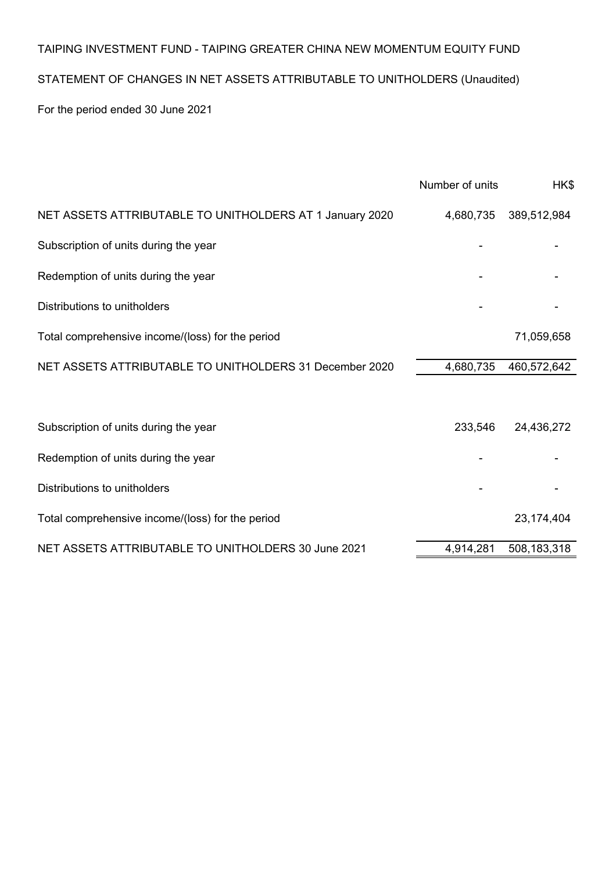# STATEMENT OF CHANGES IN NET ASSETS ATTRIBUTABLE TO UNITHOLDERS (Unaudited)

For the period ended 30 June 2021

|                                                          | Number of units | HK\$        |
|----------------------------------------------------------|-----------------|-------------|
| NET ASSETS ATTRIBUTABLE TO UNITHOLDERS AT 1 January 2020 | 4,680,735       | 389,512,984 |
| Subscription of units during the year                    |                 |             |
| Redemption of units during the year                      |                 |             |
| Distributions to unitholders                             |                 |             |
| Total comprehensive income/(loss) for the period         |                 | 71,059,658  |
| NET ASSETS ATTRIBUTABLE TO UNITHOLDERS 31 December 2020  | 4,680,735       | 460,572,642 |
|                                                          |                 |             |
| Subscription of units during the year                    | 233,546         | 24,436,272  |
| Redemption of units during the year                      |                 |             |
| Distributions to unitholders                             |                 |             |
| Total comprehensive income/(loss) for the period         |                 | 23,174,404  |
| NET ASSETS ATTRIBUTABLE TO UNITHOLDERS 30 June 2021      | 4,914,281       | 508,183,318 |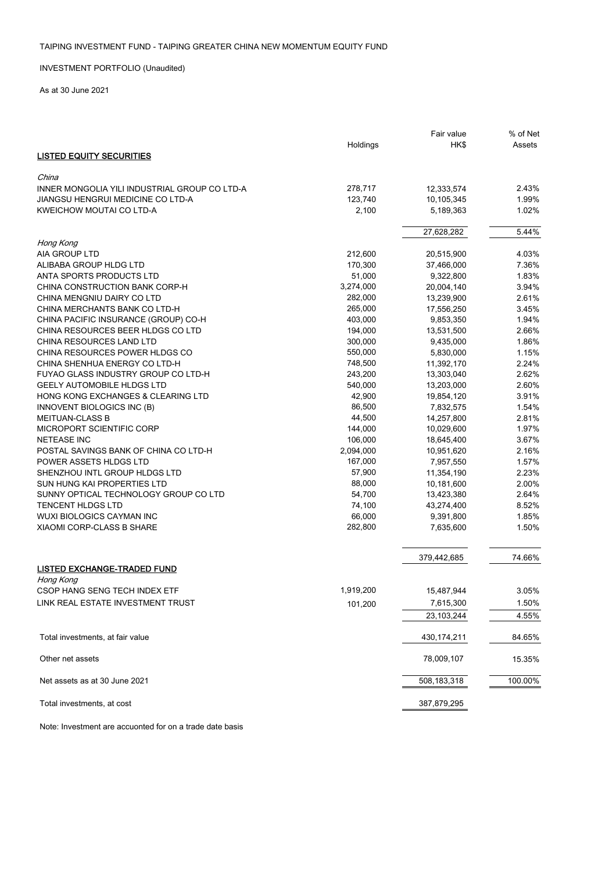#### INVESTMENT PORTFOLIO (Unaudited)

As at 30 June 2021

|                                               |           | Fair value  | % of Net |
|-----------------------------------------------|-----------|-------------|----------|
|                                               | Holdings  | HK\$        | Assets   |
| <b>LISTED EQUITY SECURITIES</b>               |           |             |          |
|                                               |           |             |          |
| China                                         |           |             |          |
| INNER MONGOLIA YILI INDUSTRIAL GROUP CO LTD-A | 278,717   | 12,333,574  | 2.43%    |
| JIANGSU HENGRUI MEDICINE CO LTD-A             | 123,740   | 10,105,345  | 1.99%    |
| KWEICHOW MOUTAI CO LTD-A                      | 2,100     | 5,189,363   | 1.02%    |
|                                               |           | 27,628,282  | 5.44%    |
| Hong Kong                                     |           |             |          |
| <b>AIA GROUP LTD</b>                          | 212,600   | 20,515,900  | 4.03%    |
| ALIBABA GROUP HLDG LTD                        | 170,300   | 37,466,000  | 7.36%    |
| ANTA SPORTS PRODUCTS LTD                      | 51,000    | 9,322,800   | 1.83%    |
| CHINA CONSTRUCTION BANK CORP-H                | 3,274,000 | 20,004,140  | 3.94%    |
|                                               |           |             |          |
| CHINA MENGNIU DAIRY CO LTD                    | 282,000   | 13,239,900  | 2.61%    |
| CHINA MERCHANTS BANK CO LTD-H                 | 265,000   | 17,556,250  | 3.45%    |
| CHINA PACIFIC INSURANCE (GROUP) CO-H          | 403,000   | 9,853,350   | 1.94%    |
| CHINA RESOURCES BEER HLDGS CO LTD             | 194,000   | 13,531,500  | 2.66%    |
| CHINA RESOURCES LAND LTD                      | 300,000   | 9,435,000   | 1.86%    |
| CHINA RESOURCES POWER HLDGS CO                | 550,000   | 5,830,000   | 1.15%    |
| CHINA SHENHUA ENERGY CO LTD-H                 | 748,500   | 11,392,170  | 2.24%    |
| FUYAO GLASS INDUSTRY GROUP CO LTD-H           | 243,200   | 13,303,040  | 2.62%    |
| <b>GEELY AUTOMOBILE HLDGS LTD</b>             | 540,000   | 13,203,000  | 2.60%    |
| HONG KONG EXCHANGES & CLEARING LTD            | 42,900    | 19,854,120  | 3.91%    |
| INNOVENT BIOLOGICS INC (B)                    | 86,500    | 7,832,575   | 1.54%    |
| <b>MEITUAN-CLASS B</b>                        | 44,500    | 14,257,800  | 2.81%    |
| MICROPORT SCIENTIFIC CORP                     | 144,000   | 10,029,600  | 1.97%    |
| <b>NETEASE INC</b>                            | 106,000   | 18,645,400  | 3.67%    |
| POSTAL SAVINGS BANK OF CHINA CO LTD-H         | 2,094,000 | 10,951,620  | 2.16%    |
| POWER ASSETS HLDGS LTD                        | 167,000   | 7,957,550   | 1.57%    |
| SHENZHOU INTL GROUP HLDGS LTD                 | 57,900    | 11,354,190  | 2.23%    |
| SUN HUNG KAI PROPERTIES LTD                   | 88,000    | 10,181,600  | 2.00%    |
| SUNNY OPTICAL TECHNOLOGY GROUP CO LTD         | 54,700    | 13,423,380  | 2.64%    |
| <b>TENCENT HLDGS LTD</b>                      | 74,100    | 43,274,400  | 8.52%    |
| <b>WUXI BIOLOGICS CAYMAN INC</b>              | 66,000    | 9,391,800   | 1.85%    |
| <b>XIAOMI CORP-CLASS B SHARE</b>              | 282,800   | 7,635,600   | 1.50%    |
|                                               |           |             |          |
|                                               |           | 379,442,685 | 74.66%   |
| <b>LISTED EXCHANGE-TRADED FUND</b>            |           |             |          |
| Hong Kong                                     |           |             |          |
| CSOP HANG SENG TECH INDEX ETF                 | 1,919,200 | 15,487,944  | 3.05%    |
| LINK REAL ESTATE INVESTMENT TRUST             | 101,200   | 7,615,300   | 1.50%    |
|                                               |           | 23,103,244  | 4.55%    |
| Total investments, at fair value              |           | 430,174,211 | 84.65%   |
| Other net assets                              |           | 78,009,107  | 15.35%   |
| Net assets as at 30 June 2021                 |           | 508,183,318 | 100.00%  |
| Total investments, at cost                    |           | 387,879,295 |          |

Note: Investment are accuonted for on a trade date basis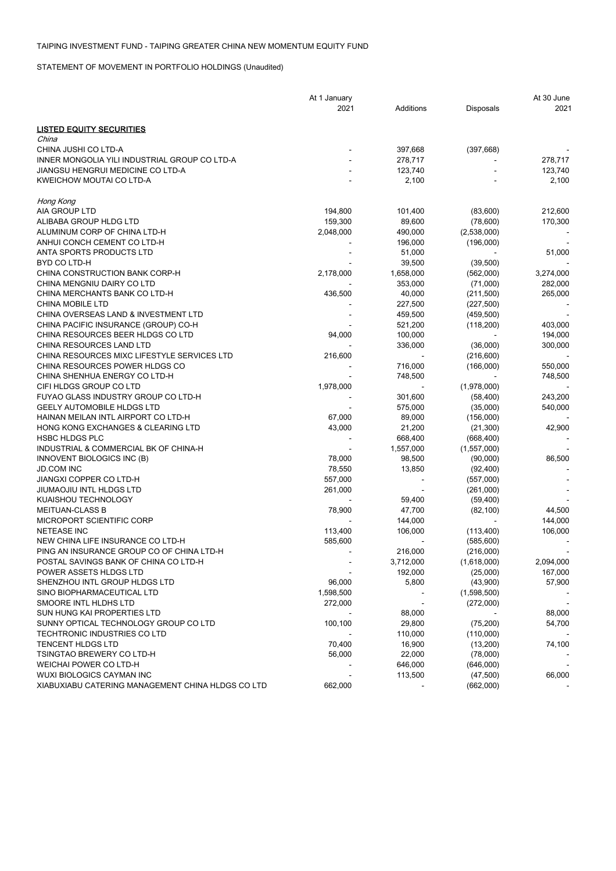STATEMENT OF MOVEMENT IN PORTFOLIO HOLDINGS (Unaudited)

|                                                   | At 1 January |           |             | At 30 June               |
|---------------------------------------------------|--------------|-----------|-------------|--------------------------|
|                                                   | 2021         | Additions | Disposals   | 2021                     |
| <u>LISTED EQUITY SECURITIES</u>                   |              |           |             |                          |
| China                                             |              |           |             |                          |
| CHINA JUSHI CO LTD-A                              |              | 397,668   | (397, 668)  |                          |
| INNER MONGOLIA YILI INDUSTRIAL GROUP CO LTD-A     |              | 278,717   |             | 278,717                  |
| JIANGSU HENGRUI MEDICINE CO LTD-A                 |              | 123,740   |             | 123,740                  |
| KWEICHOW MOUTAI CO LTD-A                          |              | 2,100     |             | 2,100                    |
| Hong Kong                                         |              |           |             |                          |
| AIA GROUP LTD                                     | 194,800      | 101,400   | (83,600)    | 212,600                  |
| ALIBABA GROUP HLDG LTD                            | 159,300      | 89,600    | (78,600)    | 170,300                  |
| ALUMINUM CORP OF CHINA LTD-H                      | 2,048,000    | 490,000   | (2,538,000) |                          |
| ANHUI CONCH CEMENT CO LTD-H                       |              | 196,000   | (196,000)   |                          |
| ANTA SPORTS PRODUCTS LTD                          |              | 51,000    |             | 51,000                   |
| BYD CO LTD-H                                      |              | 39,500    | (39, 500)   |                          |
| CHINA CONSTRUCTION BANK CORP-H                    | 2,178,000    | 1,658,000 | (562,000)   | 3,274,000                |
| CHINA MENGNIU DAIRY CO LTD                        |              | 353,000   | (71,000)    | 282,000                  |
| CHINA MERCHANTS BANK CO LTD-H                     | 436,500      | 40,000    | (211,500)   | 265,000                  |
| <b>CHINA MOBILE LTD</b>                           |              | 227,500   | (227, 500)  |                          |
| CHINA OVERSEAS LAND & INVESTMENT LTD              |              | 459,500   | (459, 500)  |                          |
| CHINA PACIFIC INSURANCE (GROUP) CO-H              |              | 521,200   | (118,200)   | 403,000                  |
| CHINA RESOURCES BEER HLDGS CO LTD                 | 94,000       | 100,000   |             | 194,000                  |
| CHINA RESOURCES LAND LTD                          |              | 336,000   | (36,000)    | 300,000                  |
| CHINA RESOURCES MIXC LIFESTYLE SERVICES LTD       | 216,600      |           | (216, 600)  |                          |
| CHINA RESOURCES POWER HLDGS CO                    |              | 716,000   | (166,000)   | 550,000                  |
| CHINA SHENHUA ENERGY CO LTD-H                     |              | 748,500   |             | 748,500                  |
| CIFI HLDGS GROUP CO LTD                           | 1,978,000    |           | (1,978,000) |                          |
| FUYAO GLASS INDUSTRY GROUP CO LTD-H               |              | 301,600   | (58, 400)   | 243,200                  |
| <b>GEELY AUTOMOBILE HLDGS LTD</b>                 |              | 575,000   | (35,000)    | 540,000                  |
| HAINAN MEILAN INTL AIRPORT CO LTD-H               | 67,000       | 89,000    | (156,000)   |                          |
| HONG KONG EXCHANGES & CLEARING LTD                | 43,000       | 21,200    | (21, 300)   | 42,900                   |
| <b>HSBC HLDGS PLC</b>                             |              | 668,400   | (668, 400)  |                          |
| INDUSTRIAL & COMMERCIAL BK OF CHINA-H             |              | 1,557,000 | (1,557,000) |                          |
| INNOVENT BIOLOGICS INC (B)                        | 78,000       | 98,500    | (90,000)    | 86,500                   |
| <b>JD.COM INC</b>                                 | 78,550       | 13,850    | (92, 400)   |                          |
| JIANGXI COPPER CO LTD-H                           | 557,000      |           | (557,000)   |                          |
| JIUMAOJIU INTL HLDGS LTD                          | 261,000      |           | (261,000)   |                          |
| KUAISHOU TECHNOLOGY                               |              | 59,400    | (59, 400)   |                          |
| <b>MEITUAN-CLASS B</b>                            | 78,900       | 47,700    | (82, 100)   | 44,500                   |
| MICROPORT SCIENTIFIC CORP                         |              | 144,000   |             | 144,000                  |
| <b>NETEASE INC</b>                                | 113,400      | 106,000   | (113, 400)  | 106,000                  |
| NEW CHINA LIFE INSURANCE CO LTD-H                 | 585,600      |           | (585,600)   |                          |
| PING AN INSURANCE GROUP CO OF CHINA LTD-H         |              | 216,000   | (216,000)   | $\overline{\phantom{a}}$ |
| POSTAL SAVINGS BANK OF CHINA CO LTD-H             |              | 3,712,000 | (1,618,000) | 2,094,000                |
| POWER ASSETS HLDGS LTD                            |              | 192,000   | (25,000)    | 167,000                  |
| SHENZHOU INTL GROUP HLDGS LTD                     | 96,000       | 5,800     | (43,900)    | 57,900                   |
| SINO BIOPHARMACEUTICAL LTD                        | 1,598,500    |           | (1,598,500) |                          |
| SMOORE INTL HLDHS LTD                             | 272,000      |           | (272,000)   |                          |
| SUN HUNG KAI PROPERTIES LTD                       |              | 88,000    |             | 88,000                   |
| SUNNY OPTICAL TECHNOLOGY GROUP CO LTD             | 100,100      | 29,800    | (75, 200)   | 54,700                   |
| <b>TECHTRONIC INDUSTRIES CO LTD</b>               |              | 110,000   | (110,000)   |                          |
| <b>TENCENT HLDGS LTD</b>                          | 70,400       | 16,900    | (13,200)    | 74,100                   |
| <b>TSINGTAO BREWERY CO LTD-H</b>                  | 56,000       | 22,000    | (78,000)    |                          |
| WEICHAI POWER CO LTD-H                            |              | 646,000   | (646,000)   |                          |
| WUXI BIOLOGICS CAYMAN INC                         |              | 113,500   | (47,500)    | 66,000                   |
| XIABUXIABU CATERING MANAGEMENT CHINA HLDGS CO LTD | 662,000      |           | (662,000)   |                          |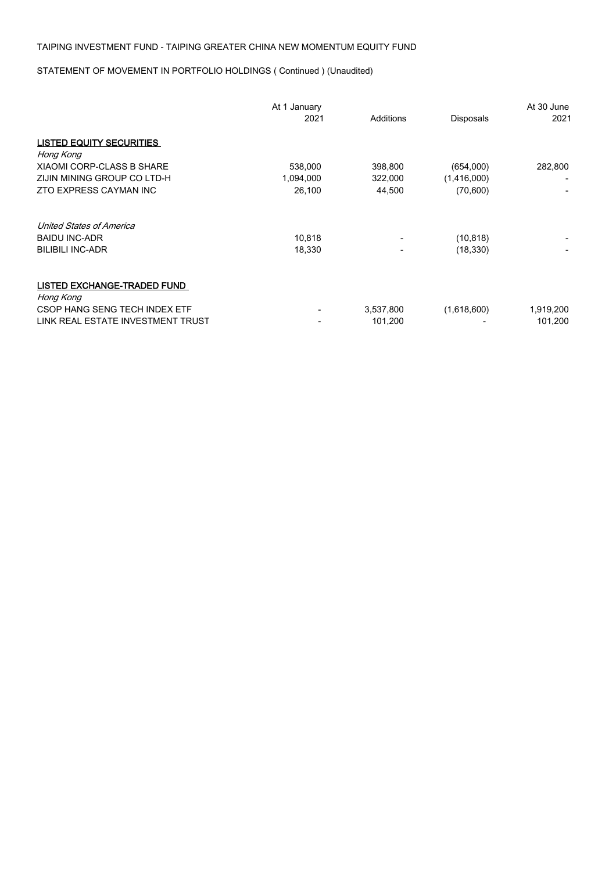STATEMENT OF MOVEMENT IN PORTFOLIO HOLDINGS ( Continued ) (Unaudited)

|                                                 | At 1 January<br>2021 | Additions | Disposals   | At 30 June<br>2021 |
|-------------------------------------------------|----------------------|-----------|-------------|--------------------|
| <b>LISTED EQUITY SECURITIES</b>                 |                      |           |             |                    |
| Hong Kong                                       |                      |           |             |                    |
| <b>XIAOMI CORP-CLASS B SHARE</b>                | 538,000              | 398,800   | (654,000)   | 282,800            |
| ZIJIN MINING GROUP CO LTD-H                     | 1,094,000            | 322,000   | (1,416,000) |                    |
| ZTO EXPRESS CAYMAN INC                          | 26,100               | 44,500    | (70, 600)   |                    |
| <b>United States of America</b>                 |                      |           |             |                    |
| <b>BAIDU INC-ADR</b>                            | 10,818               |           | (10, 818)   |                    |
| <b>BILIBILI INC-ADR</b>                         | 18,330               |           | (18, 330)   |                    |
| <b>LISTED EXCHANGE-TRADED FUND</b><br>Hong Kong |                      |           |             |                    |
| CSOP HANG SENG TECH INDEX ETF                   |                      | 3,537,800 | (1,618,600) | 1,919,200          |
|                                                 |                      |           |             |                    |
| LINK REAL ESTATE INVESTMENT TRUST               |                      | 101,200   |             | 101,200            |